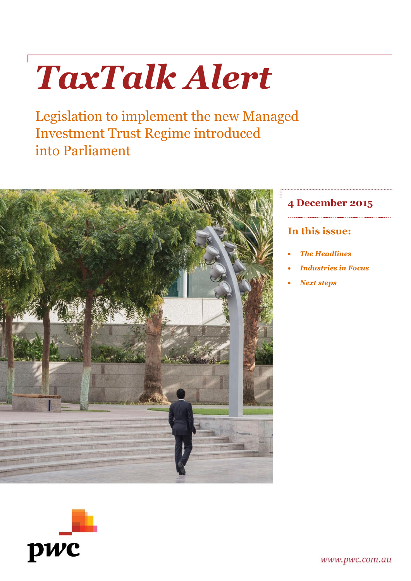# *TaxTalk Alert*

Legislation to implement the new Managed Investment Trust Regime introduced into Parliament



pwc

# **4 December 2015**

## **In this issue:**

- *The Headlines*
- *Industries in Focus*
- *Next steps*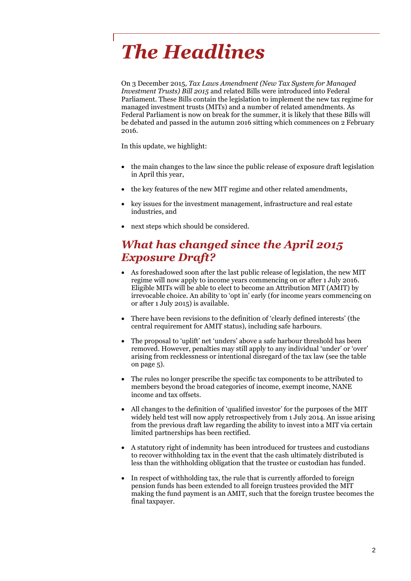# *The Headlines*

On 3 December 2015, *Tax Laws Amendment (New Tax System for Managed Investment Trusts) Bill 2015* and related Bills were introduced into Federal Parliament. These Bills contain the legislation to implement the new tax regime for managed investment trusts (MITs) and a number of related amendments. As Federal Parliament is now on break for the summer, it is likely that these Bills will be debated and passed in the autumn 2016 sitting which commences on 2 February 2016.

In this update, we highlight:

- the main changes to the law since the public release of exposure draft legislation in April this year,
- the key features of the new MIT regime and other related amendments,
- key issues for the investment management, infrastructure and real estate industries, and
- next steps which should be considered.

## *What has changed since the April 2015 Exposure Draft?*

- As foreshadowed soon after the last public release of legislation, the new MIT regime will now apply to income years commencing on or after 1 July 2016. Eligible MITs will be able to elect to become an Attribution MIT (AMIT) by irrevocable choice. An ability to 'opt in' early (for income years commencing on or after 1 July 2015) is available.
- There have been revisions to the definition of 'clearly defined interests' (the central requirement for AMIT status), including safe harbours.
- The proposal to 'uplift' net 'unders' above a safe harbour threshold has been removed. However, penalties may still apply to any individual 'under' or 'over' arising from recklessness or intentional disregard of the tax law (see the table on page 5).
- The rules no longer prescribe the specific tax components to be attributed to members beyond the broad categories of income, exempt income, NANE income and tax offsets.
- All changes to the definition of 'qualified investor' for the purposes of the MIT widely held test will now apply retrospectively from 1 July 2014. An issue arising from the previous draft law regarding the ability to invest into a MIT via certain limited partnerships has been rectified.
- A statutory right of indemnity has been introduced for trustees and custodians to recover withholding tax in the event that the cash ultimately distributed is less than the withholding obligation that the trustee or custodian has funded.
- In respect of withholding tax, the rule that is currently afforded to foreign pension funds has been extended to all foreign trustees provided the MIT making the fund payment is an AMIT, such that the foreign trustee becomes the final taxpayer.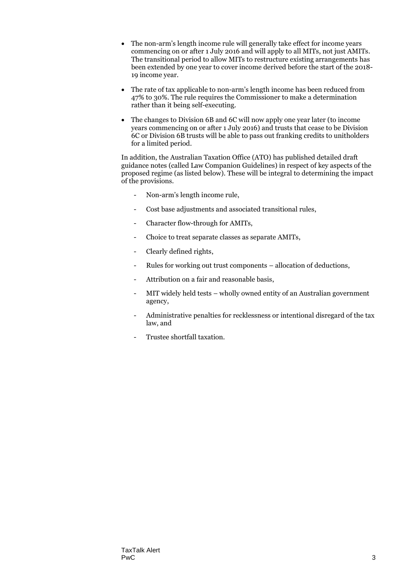- The non-arm's length income rule will generally take effect for income years commencing on or after 1 July 2016 and will apply to all MITs, not just AMITs. The transitional period to allow MITs to restructure existing arrangements has been extended by one year to cover income derived before the start of the 2018- 19 income year.
- The rate of tax applicable to non-arm's length income has been reduced from 47% to 30%. The rule requires the Commissioner to make a determination rather than it being self-executing.
- The changes to Division 6B and 6C will now apply one year later (to income years commencing on or after 1 July 2016) and trusts that cease to be Division 6C or Division 6B trusts will be able to pass out franking credits to unitholders for a limited period.

In addition, the Australian Taxation Office (ATO) has published detailed draft guidance notes (called Law Companion Guidelines) in respect of key aspects of the proposed regime (as listed below). These will be integral to determining the impact of the provisions.

- Non-arm's length income rule,
- Cost base adjustments and associated transitional rules,
- Character flow-through for AMITs,
- Choice to treat separate classes as separate AMITs,
- Clearly defined rights,
- Rules for working out trust components allocation of deductions,
- Attribution on a fair and reasonable basis,
- MIT widely held tests wholly owned entity of an Australian government agency,
- Administrative penalties for recklessness or intentional disregard of the tax law, and
- Trustee shortfall taxation.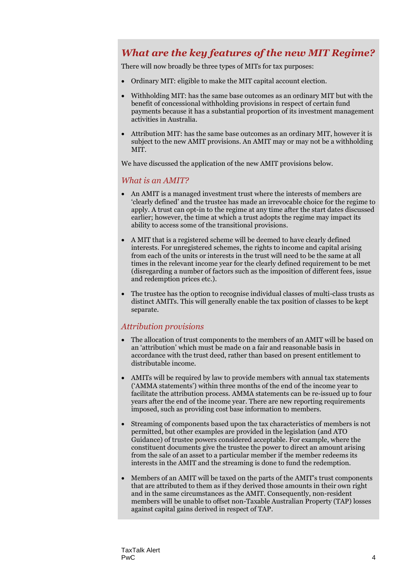### *What are the key features of the new MIT Regime?*

There will now broadly be three types of MITs for tax purposes:

- Ordinary MIT: eligible to make the MIT capital account election.
- Withholding MIT: has the same base outcomes as an ordinary MIT but with the benefit of concessional withholding provisions in respect of certain fund payments because it has a substantial proportion of its investment management activities in Australia.
- Attribution MIT: has the same base outcomes as an ordinary MIT, however it is subject to the new AMIT provisions. An AMIT may or may not be a withholding MIT.

We have discussed the application of the new AMIT provisions below.

#### *What is an AMIT?*

- An AMIT is a managed investment trust where the interests of members are 'clearly defined' and the trustee has made an irrevocable choice for the regime to apply. A trust can opt-in to the regime at any time after the start dates discussed earlier; however, the time at which a trust adopts the regime may impact its ability to access some of the transitional provisions.
- A MIT that is a registered scheme will be deemed to have clearly defined interests. For unregistered schemes, the rights to income and capital arising from each of the units or interests in the trust will need to be the same at all times in the relevant income year for the clearly defined requirement to be met (disregarding a number of factors such as the imposition of different fees, issue and redemption prices etc.).
- The trustee has the option to recognise individual classes of multi-class trusts as distinct AMITs. This will generally enable the tax position of classes to be kept separate.

#### *Attribution provisions*

- The allocation of trust components to the members of an AMIT will be based on an 'attribution' which must be made on a fair and reasonable basis in accordance with the trust deed, rather than based on present entitlement to distributable income.
- AMITs will be required by law to provide members with annual tax statements ('AMMA statements') within three months of the end of the income year to facilitate the attribution process. AMMA statements can be re-issued up to four years after the end of the income year. There are new reporting requirements imposed, such as providing cost base information to members.
- Streaming of components based upon the tax characteristics of members is not permitted, but other examples are provided in the legislation (and ATO Guidance) of trustee powers considered acceptable. For example, where the constituent documents give the trustee the power to direct an amount arising from the sale of an asset to a particular member if the member redeems its interests in the AMIT and the streaming is done to fund the redemption.
- Members of an AMIT will be taxed on the parts of the AMIT's trust components that are attributed to them as if they derived those amounts in their own right and in the same circumstances as the AMIT. Consequently, non-resident members will be unable to offset non-Taxable Australian Property (TAP) losses against capital gains derived in respect of TAP.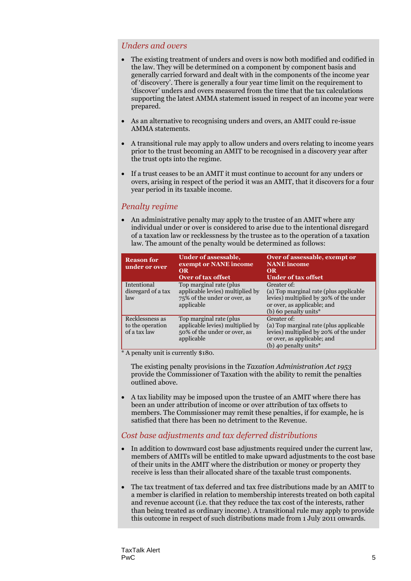#### *Unders and overs*

- The existing treatment of unders and overs is now both modified and codified in the law. They will be determined on a component by component basis and generally carried forward and dealt with in the components of the income year of 'discovery'. There is generally a four year time limit on the requirement to 'discover' unders and overs measured from the time that the tax calculations supporting the latest AMMA statement issued in respect of an income year were prepared.
- As an alternative to recognising unders and overs, an AMIT could re-issue AMMA statements.
- A transitional rule may apply to allow unders and overs relating to income years prior to the trust becoming an AMIT to be recognised in a discovery year after the trust opts into the regime.
- If a trust ceases to be an AMIT it must continue to account for any unders or overs, arising in respect of the period it was an AMIT, that it discovers for a four year period in its taxable income.

#### *Penalty regime*

 An administrative penalty may apply to the trustee of an AMIT where any individual under or over is considered to arise due to the intentional disregard of a taxation law or recklessness by the trustee as to the operation of a taxation law. The amount of the penalty would be determined as follows:

| <b>Reason for</b><br>under or over                  | <b>Under of assessable,</b><br>exempt or NANE income<br><b>OR</b><br>Over of tax offset                    | Over of assessable, exempt or<br><b>NANE</b> income<br><b>OR</b><br><b>Under of tax offset</b>                                                             |
|-----------------------------------------------------|------------------------------------------------------------------------------------------------------------|------------------------------------------------------------------------------------------------------------------------------------------------------------|
| Intentional<br>disregard of a tax<br>law            | Top marginal rate (plus)<br>applicable levies) multiplied by<br>75% of the under or over, as<br>applicable | Greater of:<br>(a) Top marginal rate (plus applicable<br>levies) multiplied by 30% of the under<br>or over, as applicable; and<br>(b) 60 penalty units*    |
| Recklessness as<br>to the operation<br>of a tax law | Top marginal rate (plus)<br>applicable levies) multiplied by<br>50% of the under or over, as<br>applicable | Greater of:<br>(a) Top marginal rate (plus applicable<br>levies) multiplied by 20% of the under<br>or over, as applicable; and<br>(b) 40 penalty units $*$ |

\* A penalty unit is currently \$180.

The existing penalty provisions in the *Taxation Administration Act 1953* provide the Commissioner of Taxation with the ability to remit the penalties outlined above.

 A tax liability may be imposed upon the trustee of an AMIT where there has been an under attribution of income or over attribution of tax offsets to members. The Commissioner may remit these penalties, if for example, he is satisfied that there has been no detriment to the Revenue.

#### *Cost base adjustments and tax deferred distributions*

- In addition to downward cost base adjustments required under the current law, members of AMITs will be entitled to make upward adjustments to the cost base of their units in the AMIT where the distribution or money or property they receive is less than their allocated share of the taxable trust components.
- The tax treatment of tax deferred and tax free distributions made by an AMIT to a member is clarified in relation to membership interests treated on both capital and revenue account (i.e. that they reduce the tax cost of the interests, rather than being treated as ordinary income). A transitional rule may apply to provide this outcome in respect of such distributions made from 1 July 2011 onwards.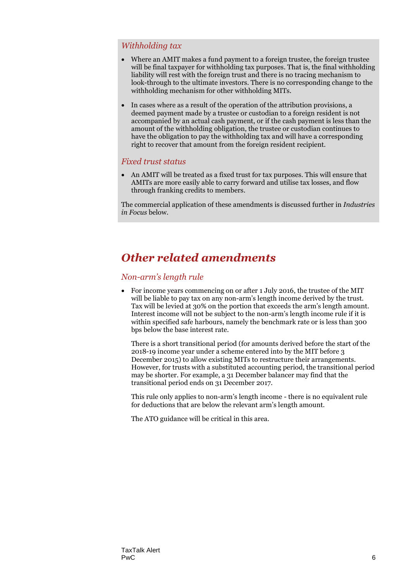#### *Withholding tax*

- Where an AMIT makes a fund payment to a foreign trustee, the foreign trustee will be final taxpayer for withholding tax purposes. That is, the final withholding liability will rest with the foreign trust and there is no tracing mechanism to look-through to the ultimate investors. There is no corresponding change to the withholding mechanism for other withholding MITs.
- In cases where as a result of the operation of the attribution provisions, a deemed payment made by a trustee or custodian to a foreign resident is not accompanied by an actual cash payment, or if the cash payment is less than the amount of the withholding obligation, the trustee or custodian continues to have the obligation to pay the withholding tax and will have a corresponding right to recover that amount from the foreign resident recipient.

#### *Fixed trust status*

 An AMIT will be treated as a fixed trust for tax purposes. This will ensure that AMITs are more easily able to carry forward and utilise tax losses, and flow through franking credits to members.

The commercial application of these amendments is discussed further in *Industries in Focus* below.

# *Other related amendments*

#### *Non-arm's length rule*

 For income years commencing on or after 1 July 2016, the trustee of the MIT will be liable to pay tax on any non-arm's length income derived by the trust. Tax will be levied at 30% on the portion that exceeds the arm's length amount. Interest income will not be subject to the non-arm's length income rule if it is within specified safe harbours, namely the benchmark rate or is less than 300 bps below the base interest rate.

There is a short transitional period (for amounts derived before the start of the 2018-19 income year under a scheme entered into by the MIT before 3 December 2015) to allow existing MITs to restructure their arrangements. However, for trusts with a substituted accounting period, the transitional period may be shorter. For example, a 31 December balancer may find that the transitional period ends on 31 December 2017.

This rule only applies to non-arm's length income - there is no equivalent rule for deductions that are below the relevant arm's length amount.

The ATO guidance will be critical in this area.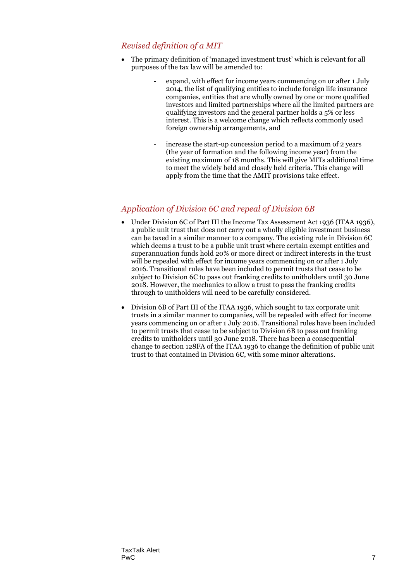#### *Revised definition of a MIT*

- The primary definition of 'managed investment trust' which is relevant for all purposes of the tax law will be amended to:
	- expand, with effect for income years commencing on or after 1 July 2014, the list of qualifying entities to include foreign life insurance companies, entities that are wholly owned by one or more qualified investors and limited partnerships where all the limited partners are qualifying investors and the general partner holds a 5% or less interest. This is a welcome change which reflects commonly used foreign ownership arrangements, and
	- increase the start-up concession period to a maximum of 2 years (the year of formation and the following income year) from the existing maximum of 18 months. This will give MITs additional time to meet the widely held and closely held criteria. This change will apply from the time that the AMIT provisions take effect.

#### *Application of Division 6C and repeal of Division 6B*

- Under Division 6C of Part III the Income Tax Assessment Act 1936 (ITAA 1936), a public unit trust that does not carry out a wholly eligible investment business can be taxed in a similar manner to a company. The existing rule in Division 6C which deems a trust to be a public unit trust where certain exempt entities and superannuation funds hold 20% or more direct or indirect interests in the trust will be repealed with effect for income years commencing on or after 1 July 2016. Transitional rules have been included to permit trusts that cease to be subject to Division 6C to pass out franking credits to unitholders until 30 June 2018. However, the mechanics to allow a trust to pass the franking credits through to unitholders will need to be carefully considered.
- Division 6B of Part III of the ITAA 1936, which sought to tax corporate unit trusts in a similar manner to companies, will be repealed with effect for income years commencing on or after 1 July 2016. Transitional rules have been included to permit trusts that cease to be subject to Division 6B to pass out franking credits to unitholders until 30 June 2018. There has been a consequential change to section 128FA of the ITAA 1936 to change the definition of public unit trust to that contained in Division 6C, with some minor alterations.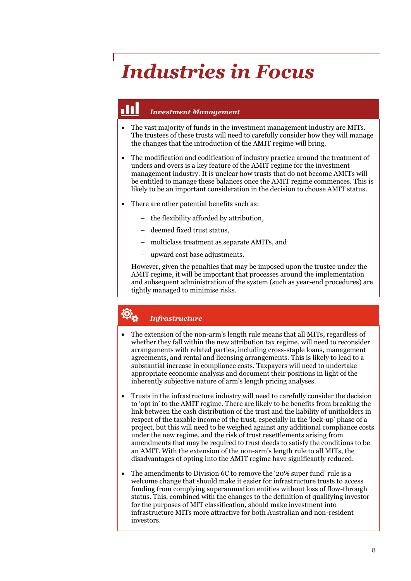# *Industries in Focus*

#### HT. *Investment Management*

- The vast majority of funds in the investment management industry are MITs. The trustees of these trusts will need to carefully consider how they will manage the changes that the introduction of the AMIT regime will bring.
- The modification and codification of industry practice around the treatment of unders and overs is a key feature of the AMIT regime for the investment management industry. It is unclear how trusts that do not become AMITs will be entitled to manage these balances once the AMIT regime commences. This is likely to be an important consideration in the decision to choose AMIT status.
- There are other potential benefits such as:
	- the flexibility afforded by attribution,
	- deemed fixed trust status,
	- multiclass treatment as separate AMITs, and
	- upward cost base adjustments.

However, given the penalties that may be imposed upon the trustee under the AMIT regime, it will be important that processes around the implementation and subsequent administration of the system (such as year-end procedures) are tightly managed to minimise risks.

# *Infrastructure*

- The extension of the non-arm's length rule means that all MITs, regardless of whether they fall within the new attribution tax regime, will need to reconsider arrangements with related parties, including cross-staple loans, management agreements, and rental and licensing arrangements. This is likely to lead to a substantial increase in compliance costs. Taxpayers will need to undertake appropriate economic analysis and document their positions in light of the inherently subjective nature of arm's length pricing analyses.
- Trusts in the infrastructure industry will need to carefully consider the decision to 'opt in' to the AMIT regime. There are likely to be benefits from breaking the link between the cash distribution of the trust and the liability of unitholders in respect of the taxable income of the trust, especially in the 'lock-up' phase of a project, but this will need to be weighed against any additional compliance costs under the new regime, and the risk of trust resettlements arising from amendments that may be required to trust deeds to satisfy the conditions to be an AMIT. With the extension of the non-arm's length rule to all MITs, the disadvantages of opting into the AMIT regime have significantly reduced.
- The amendments to Division 6C to remove the '20% super fund' rule is a welcome change that should make it easier for infrastructure trusts to access funding from complying superannuation entities without loss of flow-through status. This, combined with the changes to the definition of qualifying investor for the purposes of MIT classification, should make investment into infrastructure MITs more attractive for both Australian and non-resident investors.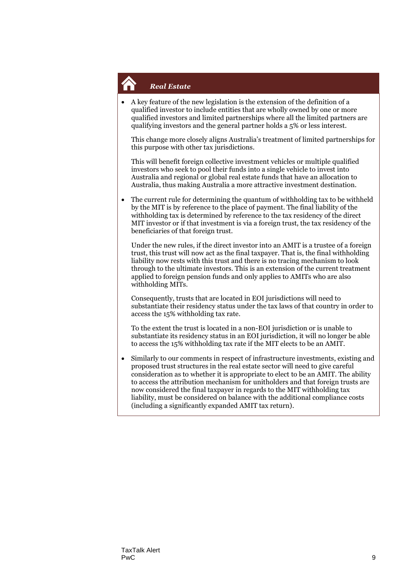

 A key feature of the new legislation is the extension of the definition of a qualified investor to include entities that are wholly owned by one or more qualified investors and limited partnerships where all the limited partners are qualifying investors and the general partner holds a 5% or less interest.

This change more closely aligns Australia's treatment of limited partnerships for this purpose with other tax jurisdictions.

This will benefit foreign collective investment vehicles or multiple qualified investors who seek to pool their funds into a single vehicle to invest into Australia and regional or global real estate funds that have an allocation to Australia, thus making Australia a more attractive investment destination.

 The current rule for determining the quantum of withholding tax to be withheld by the MIT is by reference to the place of payment. The final liability of the withholding tax is determined by reference to the tax residency of the direct MIT investor or if that investment is via a foreign trust, the tax residency of the beneficiaries of that foreign trust.

Under the new rules, if the direct investor into an AMIT is a trustee of a foreign trust, this trust will now act as the final taxpayer. That is, the final withholding liability now rests with this trust and there is no tracing mechanism to look through to the ultimate investors. This is an extension of the current treatment applied to foreign pension funds and only applies to AMITs who are also withholding MITs.

Consequently, trusts that are located in EOI jurisdictions will need to substantiate their residency status under the tax laws of that country in order to access the 15% withholding tax rate.

To the extent the trust is located in a non-EOI jurisdiction or is unable to substantiate its residency status in an EOI jurisdiction, it will no longer be able to access the 15% withholding tax rate if the MIT elects to be an AMIT.

 Similarly to our comments in respect of infrastructure investments, existing and proposed trust structures in the real estate sector will need to give careful consideration as to whether it is appropriate to elect to be an AMIT. The ability to access the attribution mechanism for unitholders and that foreign trusts are now considered the final taxpayer in regards to the MIT withholding tax liability, must be considered on balance with the additional compliance costs (including a significantly expanded AMIT tax return).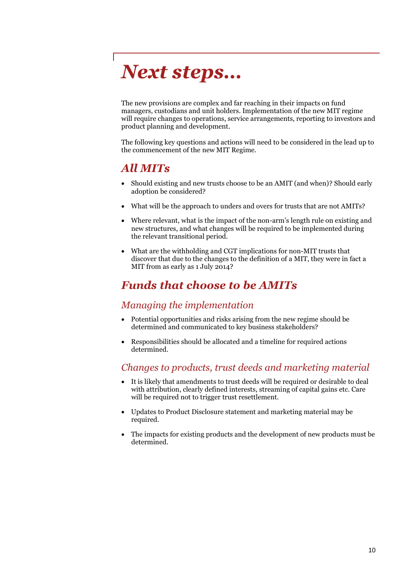# *Next steps…*

The new provisions are complex and far reaching in their impacts on fund managers, custodians and unit holders. Implementation of the new MIT regime will require changes to operations, service arrangements, reporting to investors and product planning and development.

The following key questions and actions will need to be considered in the lead up to the commencement of the new MIT Regime.

# *All MITs*

- Should existing and new trusts choose to be an AMIT (and when)? Should early adoption be considered?
- What will be the approach to unders and overs for trusts that are not AMITs?
- Where relevant, what is the impact of the non-arm's length rule on existing and new structures, and what changes will be required to be implemented during the relevant transitional period.
- What are the withholding and CGT implications for non-MIT trusts that discover that due to the changes to the definition of a MIT, they were in fact a MIT from as early as 1 July 2014?

# *Funds that choose to be AMITs*

#### *Managing the implementation*

- Potential opportunities and risks arising from the new regime should be determined and communicated to key business stakeholders?
- Responsibilities should be allocated and a timeline for required actions determined.

### *Changes to products, trust deeds and marketing material*

- It is likely that amendments to trust deeds will be required or desirable to deal with attribution, clearly defined interests, streaming of capital gains etc. Care will be required not to trigger trust resettlement.
- Updates to Product Disclosure statement and marketing material may be required.
- The impacts for existing products and the development of new products must be determined.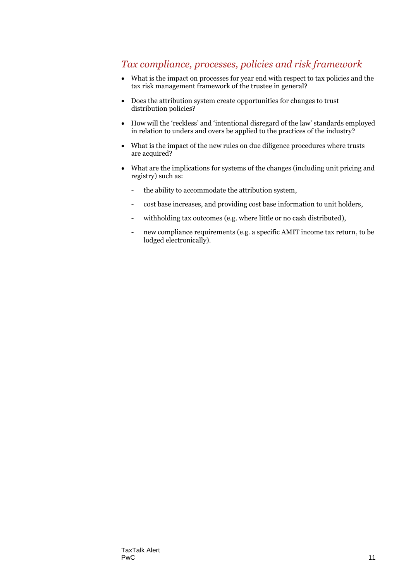### *Tax compliance, processes, policies and risk framework*

- What is the impact on processes for year end with respect to tax policies and the tax risk management framework of the trustee in general?
- Does the attribution system create opportunities for changes to trust distribution policies?
- How will the 'reckless' and 'intentional disregard of the law' standards employed in relation to unders and overs be applied to the practices of the industry?
- What is the impact of the new rules on due diligence procedures where trusts are acquired?
- What are the implications for systems of the changes (including unit pricing and registry) such as:
	- the ability to accommodate the attribution system,
	- cost base increases, and providing cost base information to unit holders,
	- withholding tax outcomes (e.g. where little or no cash distributed),
	- new compliance requirements (e.g. a specific AMIT income tax return, to be lodged electronically).